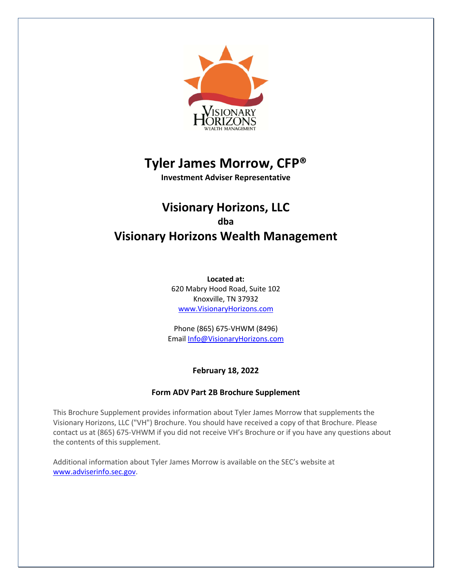

# **Tyler James Morrow, CFP®**

**Investment Adviser Representative**

# **Visionary Horizons, LLC dba Visionary Horizons Wealth Management**

**Located at:** 620 Mabry Hood Road, Suite 102 Knoxville, TN 37932 www.VisionaryHorizons.com

Phone (865) 675-VHWM (8496) Email Info@VisionaryHorizons.com

# **February 18, 2022**

# **Form ADV Part 2B Brochure Supplement**

This Brochure Supplement provides information about Tyler James Morrow that supplements the Visionary Horizons, LLC ("VH") Brochure. You should have received a copy of that Brochure. Please contact us at (865) 675-VHWM if you did not receive VH's Brochure or if you have any questions about the contents of this supplement.

Additional information about Tyler James Morrow is available on the SEC's website at www.adviserinfo.sec.gov.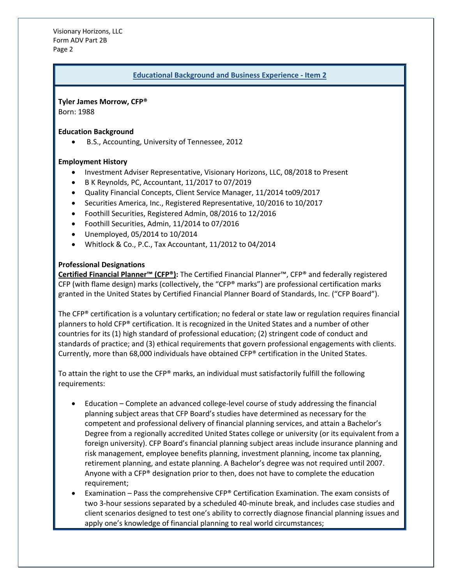Visionary Horizons, LLC Form ADV Part 2B Page 2

#### **Educational Background and Business Experience - Item 2**

**Tyler James Morrow, CFP®**

Born: 1988

#### **Education Background**

• B.S., Accounting, University of Tennessee, 2012

## **Employment History**

- Investment Adviser Representative, Visionary Horizons, LLC, 08/2018 to Present
- B K Reynolds, PC, Accountant, 11/2017 to 07/2019
- Quality Financial Concepts, Client Service Manager, 11/2014 to09/2017
- Securities America, Inc., Registered Representative, 10/2016 to 10/2017
- Foothill Securities, Registered Admin, 08/2016 to 12/2016
- Foothill Securities, Admin, 11/2014 to 07/2016
- Unemployed, 05/2014 to 10/2014
- Whitlock & Co., P.C., Tax Accountant, 11/2012 to 04/2014

## **Professional Designations**

**Certified Financial Planner™ (CFP®):** The Certified Financial Planner™, CFP® and federally registered CFP (with flame design) marks (collectively, the "CFP® marks") are professional certification marks granted in the United States by Certified Financial Planner Board of Standards, Inc. ("CFP Board").

The CFP® certification is a voluntary certification; no federal or state law or regulation requires financial planners to hold CFP® certification. It is recognized in the United States and a number of other countries for its (1) high standard of professional education; (2) stringent code of conduct and standards of practice; and (3) ethical requirements that govern professional engagements with clients. Currently, more than 68,000 individuals have obtained CFP® certification in the United States.

To attain the right to use the CFP® marks, an individual must satisfactorily fulfill the following requirements:

- Education Complete an advanced college-level course of study addressing the financial planning subject areas that CFP Board's studies have determined as necessary for the competent and professional delivery of financial planning services, and attain a Bachelor's Degree from a regionally accredited United States college or university (or its equivalent from a foreign university). CFP Board's financial planning subject areas include insurance planning and risk management, employee benefits planning, investment planning, income tax planning, retirement planning, and estate planning. A Bachelor's degree was not required until 2007. Anyone with a CFP® designation prior to then, does not have to complete the education requirement;
- Examination Pass the comprehensive CFP® Certification Examination. The exam consists of two 3-hour sessions separated by a scheduled 40-minute break, and includes case studies and client scenarios designed to test one's ability to correctly diagnose financial planning issues and apply one's knowledge of financial planning to real world circumstances;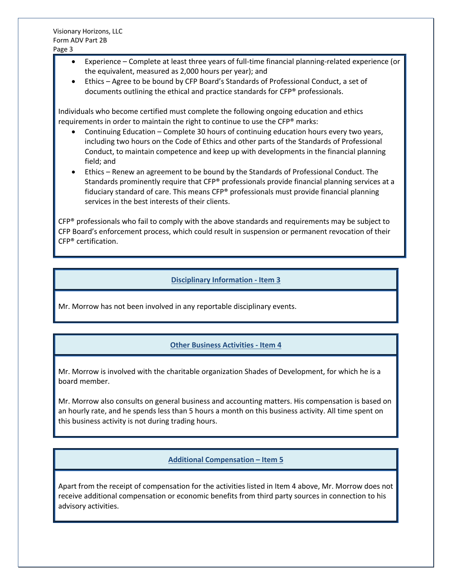- Experience Complete at least three years of full-time financial planning-related experience (or the equivalent, measured as 2,000 hours per year); and
- Ethics Agree to be bound by CFP Board's Standards of Professional Conduct, a set of documents outlining the ethical and practice standards for CFP® professionals.

Individuals who become certified must complete the following ongoing education and ethics requirements in order to maintain the right to continue to use the CFP® marks:

- Continuing Education Complete 30 hours of continuing education hours every two years, including two hours on the Code of Ethics and other parts of the Standards of Professional Conduct, to maintain competence and keep up with developments in the financial planning field; and
- Ethics Renew an agreement to be bound by the Standards of Professional Conduct. The Standards prominently require that CFP® professionals provide financial planning services at a fiduciary standard of care. This means CFP® professionals must provide financial planning services in the best interests of their clients.

 $CFP<sup>®</sup>$  professionals who fail to comply with the above standards and requirements may be subject to CFP Board's enforcement process, which could result in suspension or permanent revocation of their CFP® certification.

#### **Disciplinary Information - Item 3**

Mr. Morrow has not been involved in any reportable disciplinary events.

# **Other Business Activities - Item 4**

Mr. Morrow is involved with the charitable organization Shades of Development, for which he is a board member.

Mr. Morrow also consults on general business and accounting matters. His compensation is based on an hourly rate, and he spends less than 5 hours a month on this business activity. All time spent on this business activity is not during trading hours.

#### **Additional Compensation – Item 5**

Apart from the receipt of compensation for the activities listed in Item 4 above, Mr. Morrow does not receive additional compensation or economic benefits from third party sources in connection to his advisory activities.